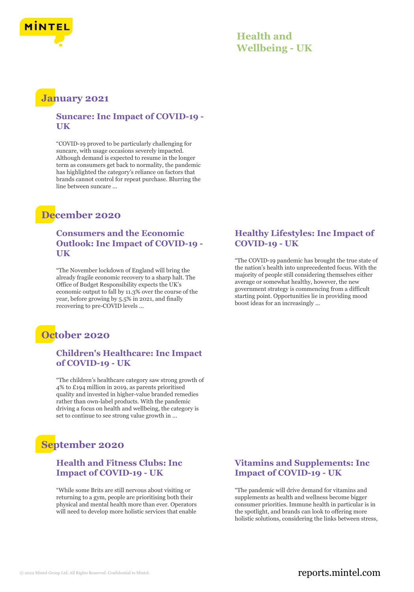

### **Health and Wellbeing - UK**

## **January 2021**

#### **Suncare: Inc Impact of COVID-19 - UK**

"COVID-19 proved to be particularly challenging for suncare, with usage occasions severely impacted. Although demand is expected to resume in the longer term as consumers get back to normality, the pandemic has highlighted the category's reliance on factors that brands cannot control for repeat purchase. Blurring the line between suncare ...

# **December 2020**

#### **Consumers and the Economic Outlook: Inc Impact of COVID-19 - UK**

"The November lockdown of England will bring the already fragile economic recovery to a sharp halt. The Office of Budget Responsibility expects the UK's economic output to fall by 11.3% over the course of the year, before growing by 5.5% in 2021, and finally recovering to pre-COVID levels ...

# **October 2020**

#### **Children's Healthcare: Inc Impact of COVID-19 - UK**

"The children's healthcare category saw strong growth of 4% to £194 million in 2019, as parents prioritised quality and invested in higher-value branded remedies rather than own-label products. With the pandemic driving a focus on health and wellbeing, the category is set to continue to see strong value growth in ...

# **September 2020**

#### **Health and Fitness Clubs: Inc Impact of COVID-19 - UK**

"While some Brits are still nervous about visiting or returning to a gym, people are prioritising both their physical and mental health more than ever. Operators will need to develop more holistic services that enable

#### **Healthy Lifestyles: Inc Impact of COVID-19 - UK**

"The COVID-19 pandemic has brought the true state of the nation's health into unprecedented focus. With the majority of people still considering themselves either average or somewhat healthy, however, the new government strategy is commencing from a difficult starting point. Opportunities lie in providing mood boost ideas for an increasingly ...

#### **Vitamins and Supplements: Inc Impact of COVID-19 - UK**

"The pandemic will drive demand for vitamins and supplements as health and wellness become bigger consumer priorities. Immune health in particular is in the spotlight, and brands can look to offering more holistic solutions, considering the links between stress,

#### © 2022 Mintel Group Ltd. All Rights Reserved. Confidential to Mintel.  $\blacksquare$  reports.mintel.com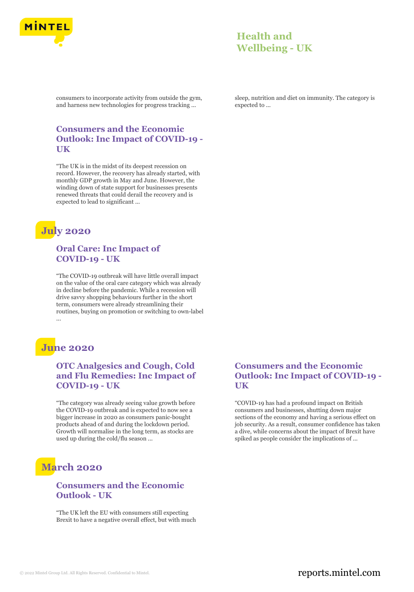

## **Health and Wellbeing - UK**

consumers to incorporate activity from outside the gym, and harness new technologies for progress tracking ...

#### **Consumers and the Economic Outlook: Inc Impact of COVID-19 - UK**

"The UK is in the midst of its deepest recession on record. However, the recovery has already started, with monthly GDP growth in May and June. However, the winding down of state support for businesses presents renewed threats that could derail the recovery and is expected to lead to significant ...



#### **Oral Care: Inc Impact of COVID-19 - UK**

"The COVID-19 outbreak will have little overall impact on the value of the oral care category which was already in decline before the pandemic. While a recession will drive savvy shopping behaviours further in the short term, consumers were already streamlining their routines, buying on promotion or switching to own-label ...

# **June 2020**

#### **OTC Analgesics and Cough, Cold and Flu Remedies: Inc Impact of COVID-19 - UK**

"The category was already seeing value growth before the COVID-19 outbreak and is expected to now see a bigger increase in 2020 as consumers panic-bought products ahead of and during the lockdown period. Growth will normalise in the long term, as stocks are used up during the cold/flu season ...

# **March 2020**

#### **Consumers and the Economic Outlook - UK**

"The UK left the EU with consumers still expecting Brexit to have a negative overall effect, but with much sleep, nutrition and diet on immunity. The category is expected to ...

#### **Consumers and the Economic Outlook: Inc Impact of COVID-19 - UK**

"COVID-19 has had a profound impact on British consumers and businesses, shutting down major sections of the economy and having a serious effect on job security. As a result, consumer confidence has taken a dive, while concerns about the impact of Brexit have spiked as people consider the implications of ...